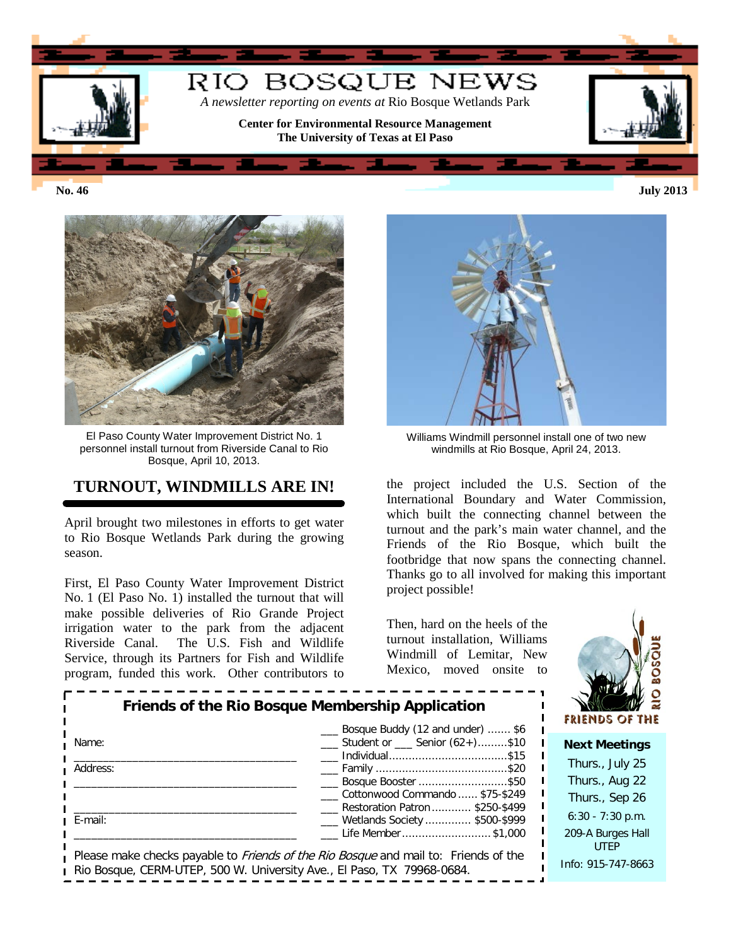

**No. 46 July 2013**



El Paso County Water Improvement District No. 1 personnel install turnout from Riverside Canal to Rio Bosque, April 10, 2013.

## **TURNOUT, WINDMILLS ARE IN!**

April brought two milestones in efforts to get water to Rio Bosque Wetlands Park during the growing season.

First, El Paso County Water Improvement District No. 1 (El Paso No. 1) installed the turnout that will make possible deliveries of Rio Grande Project irrigation water to the park from the adjacent Riverside Canal. The U.S. Fish and Wildlife Service, through its Partners for Fish and Wildlife program, funded this work. Other contributors to



Williams Windmill personnel install one of two new windmills at Rio Bosque, April 24, 2013.

the project included the U.S. Section of the International Boundary and Water Commission, which built the connecting channel between the turnout and the park's main water channel, and the Friends of the Rio Bosque, which built the footbridge that now spans the connecting channel. Thanks go to all involved for making this important project possible!

Then, hard on the heels of the turnout installation, Williams Windmill of Lemitar, New Mexico, moved onsite to



| Friends of the Rio Bosque Membership Application | <b>FRIENDS OF THE</b>                                                                                                                                                |                                  |
|--------------------------------------------------|----------------------------------------------------------------------------------------------------------------------------------------------------------------------|----------------------------------|
| Name:                                            | Bosque Buddy (12 and under)  \$6<br>$\frac{1}{1}$ Student or $\frac{1}{1}$ Senior (62+)\$10                                                                          | <b>Next Meetings</b>             |
| Address:                                         |                                                                                                                                                                      | Thurs., July 25                  |
|                                                  | Bosque Booster \$50                                                                                                                                                  | Thurs., Aug 22                   |
|                                                  | Cottonwood Commando  \$75-\$249                                                                                                                                      | Thurs., Sep 26                   |
| E-mail:                                          | Restoration Patron  \$250-\$499<br>___ Wetlands Society  \$500-\$999                                                                                                 | $6:30 - 7:30$ p.m.               |
|                                                  | Life Member \$1,000                                                                                                                                                  | 209-A Burges Hall<br><b>UTFP</b> |
|                                                  | Please make checks payable to <i>Friends of the Rio Bosque</i> and mail to: Friends of the<br>Rio Bosque, CERM-UTEP, 500 W. University Ave., El Paso, TX 79968-0684. | Info: 915-747-8663               |